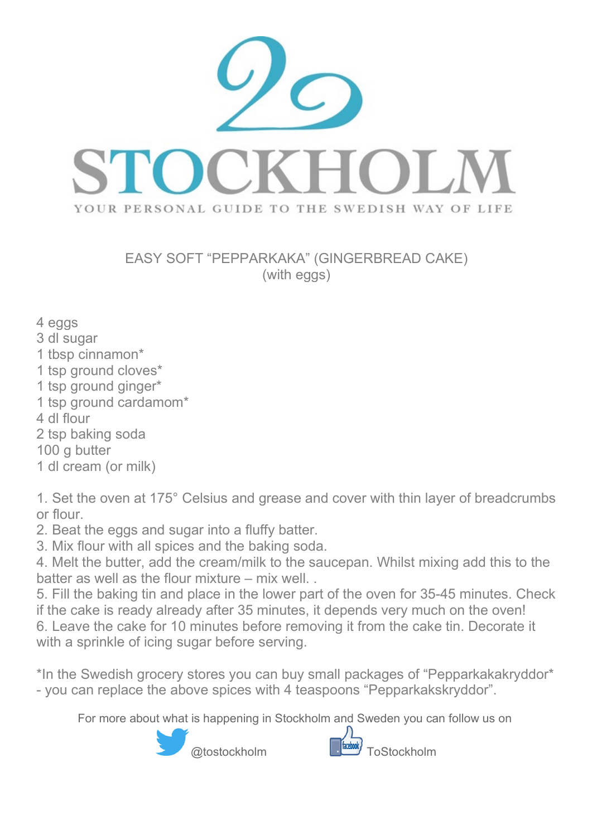

EASY SOFT "PEPPARKAKA" (GINGERBREAD CAKE) (with eggs)

4 eggs

- 3 dl sugar
- 1 tbsp cinnamon\*
- 1 tsp ground cloves\*
- 1 tsp ground ginger\*
- 1 tsp ground cardamom\*
- 4 dl flour
- 2 tsp baking soda
- 100 g butter
- 1 dl cream (or milk)

1. Set the oven at 175° Celsius and grease and cover with thin layer of breadcrumbs or flour.

2. Beat the eggs and sugar into a fluffy batter.

3. Mix flour with all spices and the baking soda.

4. Melt the butter, add the cream/milk to the saucepan. Whilst mixing add this to the batter as well as the flour mixture – mix well. .

5. Fill the baking tin and place in the lower part of the oven for 35-45 minutes. Check if the cake is ready already after 35 minutes, it depends very much on the oven! 6. Leave the cake for 10 minutes before removing it from the cake tin. Decorate it with a sprinkle of icing sugar before serving.

\*In the Swedish grocery stores you can buy small packages of "Pepparkakakryddor\* - you can replace the above spices with 4 teaspoons "Pepparkakskryddor".

For more about what is happening in Stockholm and Sweden you can follow us on